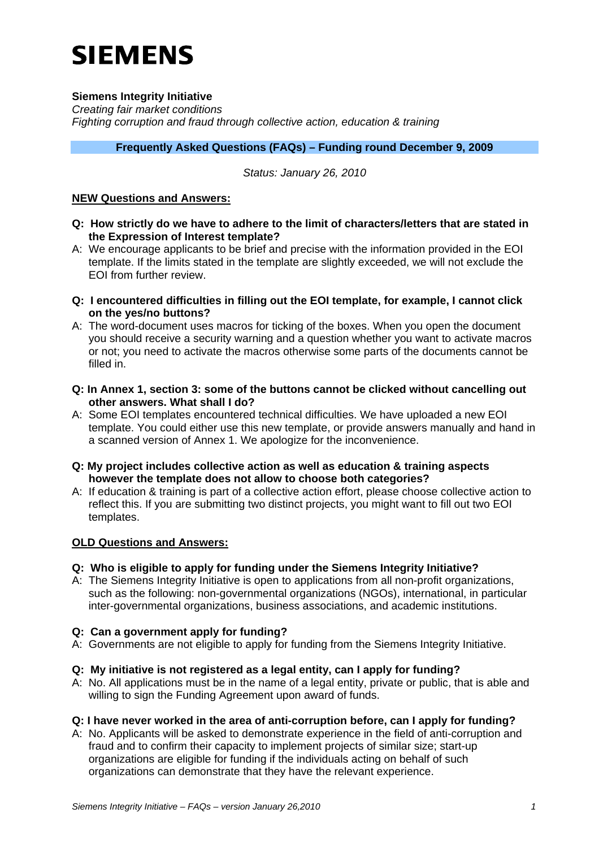# **SIEMENS**

# **Siemens Integrity Initiative**

*Creating fair market conditions Fighting corruption and fraud through collective action, education & training* 

## **Frequently Asked Questions (FAQs) – Funding round December 9, 2009**

#### *Status: January 26, 2010*

#### **NEW Questions and Answers:**

- **Q: How strictly do we have to adhere to the limit of characters/letters that are stated in the Expression of Interest template?**
- A: We encourage applicants to be brief and precise with the information provided in the EOI template. If the limits stated in the template are slightly exceeded, we will not exclude the EOI from further review.
- **Q: I encountered difficulties in filling out the EOI template, for example, I cannot click on the yes/no buttons?**
- A: The word-document uses macros for ticking of the boxes. When you open the document you should receive a security warning and a question whether you want to activate macros or not; you need to activate the macros otherwise some parts of the documents cannot be filled in.
- **Q: In Annex 1, section 3: some of the buttons cannot be clicked without cancelling out other answers. What shall I do?**
- A: Some EOI templates encountered technical difficulties. We have uploaded a new EOI template. You could either use this new template, or provide answers manually and hand in a scanned version of Annex 1. We apologize for the inconvenience.
- **Q: My project includes collective action as well as education & training aspects however the template does not allow to choose both categories?**
- A: If education & training is part of a collective action effort, please choose collective action to reflect this. If you are submitting two distinct projects, you might want to fill out two EOI templates.

## **OLD Questions and Answers:**

## **Q: Who is eligible to apply for funding under the Siemens Integrity Initiative?**

A: The Siemens Integrity Initiative is open to applications from all non-profit organizations, such as the following: non-governmental organizations (NGOs), international, in particular inter-governmental organizations, business associations, and academic institutions.

## **Q: Can a government apply for funding?**

A: Governments are not eligible to apply for funding from the Siemens Integrity Initiative.

## **Q: My initiative is not registered as a legal entity, can I apply for funding?**

A: No. All applications must be in the name of a legal entity, private or public, that is able and willing to sign the Funding Agreement upon award of funds.

## **Q: I have never worked in the area of anti-corruption before, can I apply for funding?**

A: No. Applicants will be asked to demonstrate experience in the field of anti-corruption and fraud and to confirm their capacity to implement projects of similar size; start-up organizations are eligible for funding if the individuals acting on behalf of such organizations can demonstrate that they have the relevant experience.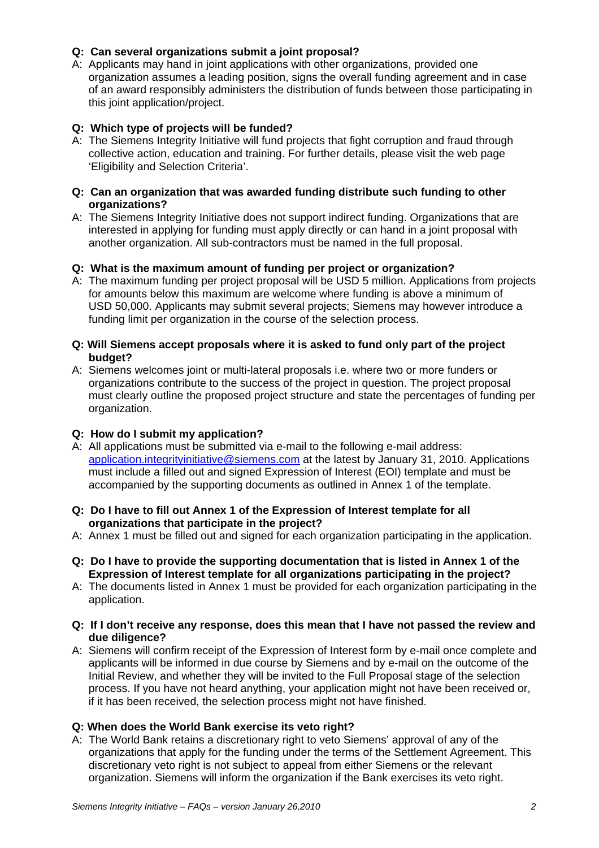## **Q: Can several organizations submit a joint proposal?**

A: Applicants may hand in joint applications with other organizations, provided one organization assumes a leading position, signs the overall funding agreement and in case of an award responsibly administers the distribution of funds between those participating in this joint application/project.

# **Q: Which type of projects will be funded?**

A: The Siemens Integrity Initiative will fund projects that fight corruption and fraud through collective action, education and training. For further details, please visit the web page 'Eligibility and Selection Criteria'.

#### **Q: Can an organization that was awarded funding distribute such funding to other organizations?**

A: The Siemens Integrity Initiative does not support indirect funding. Organizations that are interested in applying for funding must apply directly or can hand in a joint proposal with another organization. All sub-contractors must be named in the full proposal.

# **Q: What is the maximum amount of funding per project or organization?**

A: The maximum funding per project proposal will be USD 5 million. Applications from projects for amounts below this maximum are welcome where funding is above a minimum of USD 50,000. Applicants may submit several projects; Siemens may however introduce a funding limit per organization in the course of the selection process.

## **Q: Will Siemens accept proposals where it is asked to fund only part of the project budget?**

A: Siemens welcomes joint or multi-lateral proposals i.e. where two or more funders or organizations contribute to the success of the project in question. The project proposal must clearly outline the proposed project structure and state the percentages of funding per organization.

## **Q: How do I submit my application?**

- A: All applications must be submitted via e-mail to the following e-mail address: [application.integrityinitiative@siemens.com](mailto:application.integrityinitiative@siemens.com) at the latest by January 31, 2010. Applications must include a filled out and signed Expression of Interest (EOI) template and must be accompanied by the supporting documents as outlined in Annex 1 of the template.
- **Q: Do I have to fill out Annex 1 of the Expression of Interest template for all organizations that participate in the project?**
- A: Annex 1 must be filled out and signed for each organization participating in the application.
- **Q: Do I have to provide the supporting documentation that is listed in Annex 1 of the Expression of Interest template for all organizations participating in the project?**
- A: The documents listed in Annex 1 must be provided for each organization participating in the application.
- **Q: If I don't receive any response, does this mean that I have not passed the review and due diligence?**
- A: Siemens will confirm receipt of the Expression of Interest form by e-mail once complete and applicants will be informed in due course by Siemens and by e-mail on the outcome of the Initial Review, and whether they will be invited to the Full Proposal stage of the selection process. If you have not heard anything, your application might not have been received or, if it has been received, the selection process might not have finished.

## **Q: When does the World Bank exercise its veto right?**

A: The World Bank retains a discretionary right to veto Siemens' approval of any of the organizations that apply for the funding under the terms of the Settlement Agreement. This discretionary veto right is not subject to appeal from either Siemens or the relevant organization. Siemens will inform the organization if the Bank exercises its veto right.